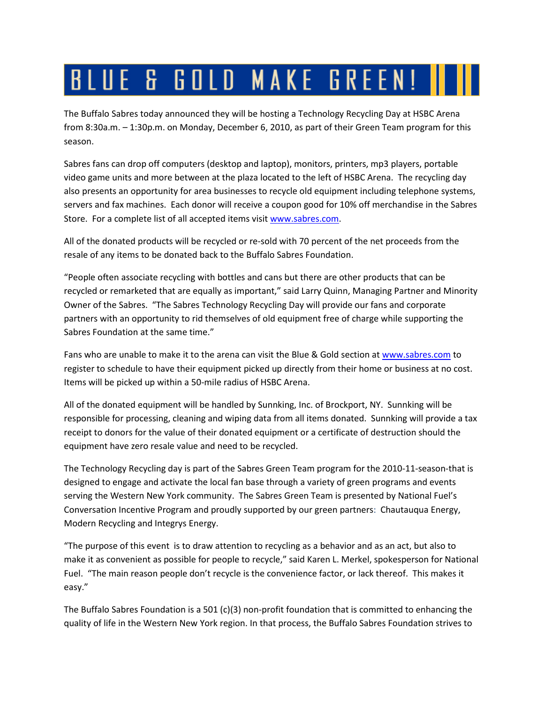## BLUE & GOLD MAKE GREEN! I

The Buffalo Sabres today announced they will be hosting a Technology Recycling Day at HSBC Arena from 8:30a.m. – 1:30p.m. on Monday, December 6, 2010, as part of their Green Team program for this season.

Sabres fans can drop off computers (desktop and laptop), monitors, printers, mp3 players, portable video game units and more between at the plaza located to the left of HSBC Arena. The recycling day also presents an opportunity for area businesses to recycle old equipment including telephone systems, servers and fax machines. Each donor will receive a coupon good for 10% off merchandise in the Sabres Store. For a complete list of all accepted items visit [www.sabres.com.](http://www.sabres.com/)

All of the donated products will be recycled or re-sold with 70 percent of the net proceeds from the resale of any items to be donated back to the Buffalo Sabres Foundation.

"People often associate recycling with bottles and cans but there are other products that can be recycled or remarketed that are equally as important," said Larry Quinn, Managing Partner and Minority Owner of the Sabres. "The Sabres Technology Recycling Day will provide our fans and corporate partners with an opportunity to rid themselves of old equipment free of charge while supporting the Sabres Foundation at the same time."

Fans who are unable to make it to the arena can visit the Blue & Gold section at [www.sabres.com](http://www.sabres.com/) to register to schedule to have their equipment picked up directly from their home or business at no cost. Items will be picked up within a 50-mile radius of HSBC Arena.

All of the donated equipment will be handled by Sunnking, Inc. of Brockport, NY. Sunnking will be responsible for processing, cleaning and wiping data from all items donated. Sunnking will provide a tax receipt to donors for the value of their donated equipment or a certificate of destruction should the equipment have zero resale value and need to be recycled.

The Technology Recycling day is part of the Sabres Green Team program for the 2010-11-season-that is designed to engage and activate the local fan base through a variety of green programs and events serving the Western New York community. The Sabres Green Team is presented by National Fuel's Conversation Incentive Program and proudly supported by our green partners: Chautauqua Energy, Modern Recycling and Integrys Energy.

"The purpose of this event is to draw attention to recycling as a behavior and as an act, but also to make it as convenient as possible for people to recycle," said Karen L. Merkel, spokesperson for National Fuel. "The main reason people don't recycle is the convenience factor, or lack thereof. This makes it easy."

The Buffalo Sabres Foundation is a 501 (c)(3) non-profit foundation that is committed to enhancing the quality of life in the Western New York region. In that process, the Buffalo Sabres Foundation strives to